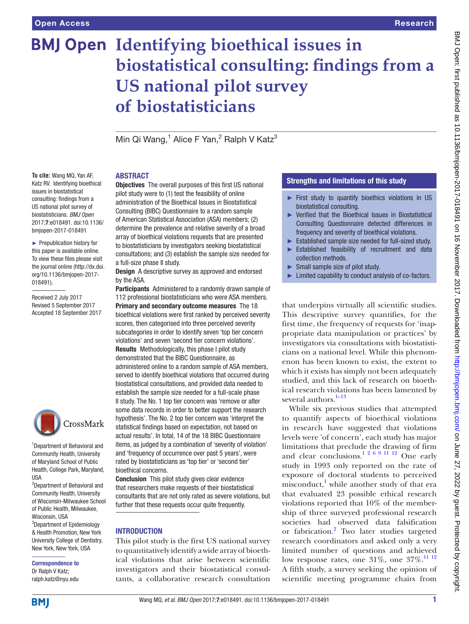# **BMJ Open Identifying bioethical issues in biostatistical consulting: findings from a US national pilot survey of biostatisticians**

Min Qi Wang,<sup>1</sup> Alice F Yan,<sup>2</sup> Ralph V Katz<sup>3</sup>

## **ABSTRACT**

**To cite:** Wang MQ, Yan AF, Katz RV. Identifying bioethical issues in biostatistical consulting: findings from a US national pilot survey of biostatisticians. *BMJ Open* 2017;7:e018491. doi:10.1136/ bmjopen-2017-018491

► Prepublication history for this paper is available online. To view these files please visit the journal online [\(http://dx.doi.](http://dx.doi.org/10.1136/bmjopen-2017-018491) [org/10.1136/bmjopen-2017-](http://dx.doi.org/10.1136/bmjopen-2017-018491) [018491\)](http://dx.doi.org/10.1136/bmjopen-2017-018491).

Received 2 July 2017 Revised 5 September 2017 Accepted 18 September 2017



1 Department of Behavioral and Community Health, University of Maryland School of Public Health, College Park, Maryland, **IISA** 

2 Department of Behavioral and Community Health, University of Wisconsin-Milwaukee School of Public Health, Milwaukee, Wisconsin, USA <sup>3</sup>Department of Epidemiology & Health Promotion, New York University College of Dentistry, New York, New York, USA

#### Correspondence to Dr Ralph V Katz; ralph.katz@nyu.edu

**Objectives** The overall purposes of this first US national pilot study were to (1) test the feasibility of online administration of the Bioethical Issues in Biostatistical Consulting (BIBC) Questionnaire to a random sample of American Statistical Association (ASA) members; (2) determine the prevalence and relative severity of a broad array of bioethical violations requests that are presented to biostatisticians by investigators seeking biostatistical consultations; and (3) establish the sample size needed for a full-size phase II study.

**Design** A descriptive survey as approved and endorsed by the ASA.

Participants Administered to a randomly drawn sample of 112 professional biostatisticians who were ASA members. Primary and secondary outcome measures The 18 bioethical violations were first ranked by perceived severity scores, then categorised into three perceived severity subcategories in order to identify seven 'top tier concern violations' and seven 'second tier concern violations'. Results Methodologically, this phase I pilot study demonstrated that the BIBC Questionnaire, as administered online to a random sample of ASA members, served to identify bioethical violations that occurred during biostatistical consultations, and provided data needed to establish the sample size needed for a full-scale phase II study. The No. 1 top tier concern was 'remove or alter some data records in order to better support the research hypothesis'. The No. 2 top tier concern was 'interpret the statistical findings based on expectation, not based on actual results'. In total, 14 of the 18 BIBC Questionnaire items, as judged by a combination of 'severity of violation' and 'frequency of occurrence over past 5 years', were rated by biostatisticians as 'top tier' or 'second tier' bioethical concerns.

Conclusion This pilot study gives clear evidence that researchers make requests of their biostatistical consultants that are not only rated as severe violations, but further that these requests occur quite frequently.

## **INTRODUCTION**

This pilot study is the first US national survey to quantitatively identify a wide array of bioethical violations that arise between scientific investigators and their biostatistical consultants, a collaborative research consultation

# Strengths and limitations of this study

- ► First study to quantify bioethics violations in US biostatistical consulting.
- ► Verified that the Bioethical Issues in Biostatistical Consulting Questionnaire detected differences in frequency and severity of bioethical violations.
- ► Established sample size needed for full-sized study.
- ► Established feasibility of recruitment and data collection methods.
- ► Small sample size of pilot study.
- ► Limited capability to conduct analysis of co-factors.

that underpins virtually all scientific studies. This descriptive survey quantifies, for the first time, the frequency of requests for 'inappropriate data manipulation or practices' by investigators via consultations with biostatisticians on a national level. While this phenomenon has been known to exist, the extent to which it exists has simply not been adequately studied, and this lack of research on bioethical research violations has been lamented by several authors. $1-13$ 

While six previous studies that attempted to quantify aspects of bioethical violations in research have suggested that violations levels were 'of concern', each study has major limitations that preclude the drawing of firm and clear conclusions.<sup>1 2 6 9 11 12</sup> One early study in 1993 only reported on the rate of exposure of doctoral students to perceived misconduct,<sup>[1](#page-3-0)</sup> while another study of that era that evaluated 23 possible ethical research violations reported that 10% of the membership of three surveyed professional research societies had observed data falsification or fabrication.<sup>[2](#page-3-1)</sup> Two later studies targeted research coordinators and asked only a very limited number of questions and achieved low response rates, one  $31\%$ , one  $37\%$ .<sup>11 12</sup> A fifth study, a survey seeking the opinion of scientific meeting programme chairs from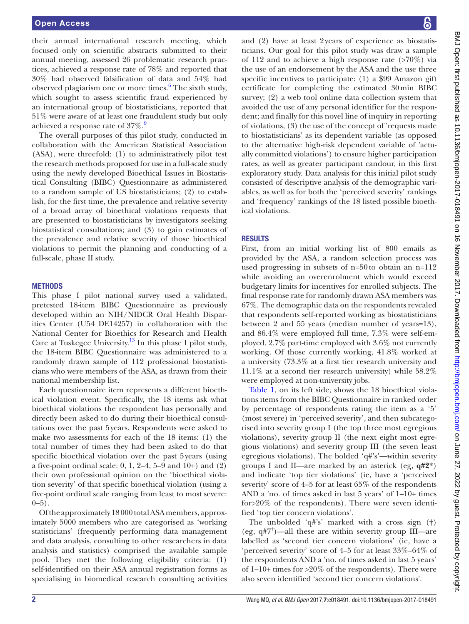their annual international research meeting, which focused only on scientific abstracts submitted to their annual meeting, assessed 26 problematic research practices, achieved a response rate of 78% and reported that 30% had observed falsification of data and 54% had observed plagiarism one or more times.<sup>[6](#page-3-3)</sup> The sixth study, which sought to assess scientific fraud experienced by an international group of biostatisticians, reported that 51% were aware of at least one fraudulent study but only achieved a response rate of  $37\%$ .<sup>[9](#page-3-4)</sup>

The overall purposes of this pilot study, conducted in collaboration with the American Statistical Association (ASA), were threefold: (1) to administratively pilot test the research methods proposed for use in a full-scale study using the newly developed Bioethical Issues in Biostatistical Consulting (BIBC) Questionnaire as administered to a random sample of US biostatisticians; (2) to establish, for the first time, the prevalence and relative severity of a broad array of bioethical violations requests that are presented to biostatisticians by investigators seeking biostatistical consultations; and (3) to gain estimates of the prevalence and relative severity of those bioethical violations to permit the planning and conducting of a full-scale, phase II study.

#### **METHODS**

This phase I pilot national survey used a validated, pretested 18-item BIBC Questionnaire as previously developed within an NIH/NIDCR Oral Health Disparities Center (U54 DE14257) in collaboration with the National Center for Bioethics for Research and Health Care at Tuskegee University.[13](#page-3-5) In this phase I pilot study, the 18-item BIBC Questionnaire was administered to a randomly drawn sample of 112 professional biostatisticians who were members of the ASA, as drawn from their national membership list.

Each questionnaire item represents a different bioethical violation event. Specifically, the 18 items ask what bioethical violations the respondent has personally and directly been asked to do during their bioethical consultations over the past 5years. Respondents were asked to make two assessments for each of the 18 items: (1) the total number of times they had been asked to do that specific bioethical violation over the past 5years (using a five-point ordinal scale:  $0, 1, 2-4, 5-9$  and  $10+)$  and  $(2)$ their own professional opinion on the 'bioethical violation severity' of that specific bioethical violation (using a five-point ordinal scale ranging from least to most severe:  $0-5$ ).

Of the approximately 18000 total ASA members, approximately 5000 members who are categorised as 'working statisticians' (frequently performing data management and data analysis, consulting to other researchers in data analysis and statistics) comprised the available sample pool. They met the following eligibility criteria: (1) self-identified on their ASA annual registration forms as specialising in biomedical research consulting activities

and (2) have at least 2years of experience as biostatisticians. Our goal for this pilot study was draw a sample of 112 and to achieve a high response rate  $($ >70%) via the use of an endorsement by the ASA and the use three specific incentives to participate: (1) a \$99 Amazon gift certificate for completing the estimated 30min BIBC survey; (2) a web tool online data collection system that avoided the use of any personal identifier for the respondent; and finally for this novel line of inquiry in reporting of violations, (3) the use of the concept of 'requests made to biostatisticians' as its dependent variable (as opposed to the alternative high-risk dependent variable of 'actually committed violations') to ensure higher participation rates, as well as greater participant candour, in this first exploratory study. Data analysis for this initial pilot study consisted of descriptive analysis of the demographic variables, as well as for both the 'perceived severity' rankings and 'frequency' rankings of the 18 listed possible bioethical violations.

### **RESULTS**

First, from an initial working list of 800 emails as provided by the ASA, a random selection process was used progressing in subsets of n=50to obtain an n=112 while avoiding an overenrolment which would exceed budgetary limits for incentives for enrolled subjects. The final response rate for randomly drawn ASA members was 67%. The demographic data on the respondents revealed that respondents self-reported working as biostatisticians between 2 and 55 years (median number of years=13), and 86.4% were employed full time, 7.3% were self-employed, 2.7% part-time employed with 3.6% not currently working. Of those currently working, 41.8% worked at a university (73.3% at a first tier research university and 11.1% at a second tier research university) while 58.2% were employed at non-university jobs.

[Table](#page-2-0) 1, on its left side, shows the 18 bioethical violations items from the BIBC Questionnaire in ranked order by percentage of respondents rating the item as a '5' (most severe) in 'perceived severity', and then subcategorised into severity group I (the top three most egregious violations), severity group II (the next eight most egregious violations) and severity group III (the seven least egregious violations). The bolded 'q#'s'—within severity groups I and II—are marked by an asterick (eg, **q#2\***) and indicate 'top tier violations' (ie, have a 'perceived severity' score of 4–5 for at least 65% of the respondents AND a 'no. of times asked in last 5 years' of 1–10+ times for>20% of the respondents). There were seven identified 'top tier concern violations'.

The unbolded 'q#'s' marked with a cross sign (†) (eg, q#7† )—all these are within severity group III—are labelled as 'second tier concern violations' (ie, have a 'perceived severity' score of 4–5 for at least 33%–64% of the respondents AND a 'no. of times asked in last 5 years' of 1–10+ times for >20% of the respondents). There were also seven identified 'second tier concern violations'.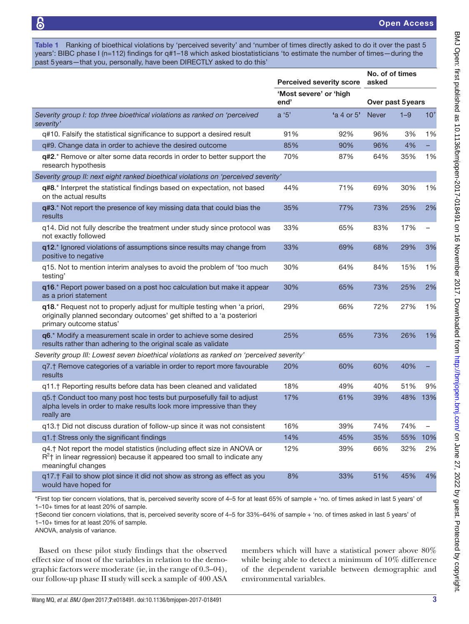<span id="page-2-0"></span>Table 1 Ranking of bioethical violations by 'perceived severity' and 'number of times directly asked to do it over the past 5 years': BIBC phase I (n=112) findings for q#1–18 which asked biostatisticians 'to estimate the number of times—during the past 5years—that you, personally, have been DIRECTLY asked to do this'

|                                                                                                                                                                               | <b>Perceived severity score</b> |                                | No. of of times<br>asked |                   |                          |  |
|-------------------------------------------------------------------------------------------------------------------------------------------------------------------------------|---------------------------------|--------------------------------|--------------------------|-------------------|--------------------------|--|
|                                                                                                                                                                               |                                 | 'Most severe' or 'high<br>end' |                          | Over past 5 years |                          |  |
| Severity group I: top three bioethical violations as ranked on 'perceived<br>severity'                                                                                        | a '5'                           | 'a 4 or 5'                     | <b>Never</b>             | $1 - 9$           | $10+$                    |  |
| q#10. Falsify the statistical significance to support a desired result                                                                                                        | 91%                             | 92%                            | 96%                      | 3%                | 1%                       |  |
| q#9. Change data in order to achieve the desired outcome                                                                                                                      | 85%                             | 90%                            | 96%                      | 4%                |                          |  |
| q#2.* Remove or alter some data records in order to better support the<br>research hypothesis                                                                                 | 70%                             | 87%                            | 64%                      | 35%               | 1%                       |  |
| Severity group II: next eight ranked bioethical violations on 'perceived severity'                                                                                            |                                 |                                |                          |                   |                          |  |
| q#8.* Interpret the statistical findings based on expectation, not based<br>on the actual results                                                                             | 44%                             | 71%                            | 69%                      | 30%               | 1%                       |  |
| q#3.* Not report the presence of key missing data that could bias the<br>results                                                                                              | 35%                             | 77%                            | 73%                      | 25%               | 2%                       |  |
| q14. Did not fully describe the treatment under study since protocol was<br>not exactly followed                                                                              | 33%                             | 65%                            | 83%                      | 17%               | $\overline{\phantom{m}}$ |  |
| q12.* Ignored violations of assumptions since results may change from<br>positive to negative                                                                                 | 33%                             | 69%                            | 68%                      | 29%               | 3%                       |  |
| q15. Not to mention interim analyses to avoid the problem of 'too much<br>testing'                                                                                            | 30%                             | 64%                            | 84%                      | 15%               | 1%                       |  |
| q16.* Report power based on a post hoc calculation but make it appear<br>as a priori statement                                                                                | 30%                             | 65%                            | 73%                      | 25%               | 2%                       |  |
| q18.* Request not to properly adjust for multiple testing when 'a priori,<br>originally planned secondary outcomes' get shifted to a 'a posteriori<br>primary outcome status' | 29%                             | 66%                            | 72%                      | 27%               | 1%                       |  |
| q6.* Modify a measurement scale in order to achieve some desired<br>results rather than adhering to the original scale as validate                                            | 25%                             | 65%                            | 73%                      | 26%               | 1%                       |  |
| Severity group III: Lowest seven bioethical violations as ranked on 'perceived severity'                                                                                      |                                 |                                |                          |                   |                          |  |
| q7.† Remove categories of a variable in order to report more favourable<br>results                                                                                            | 20%                             | 60%                            | 60%                      | 40%               |                          |  |
| q11.† Reporting results before data has been cleaned and validated                                                                                                            | 18%                             | 49%                            | 40%                      | 51%               | 9%                       |  |
| g5.† Conduct too many post hoc tests but purposefully fail to adjust<br>alpha levels in order to make results look more impressive than they<br>really are                    | 17%                             | 61%                            | 39%                      | 48%               | 13%                      |  |
| q13. <sup>+</sup> Did not discuss duration of follow-up since it was not consistent                                                                                           | 16%                             | 39%                            | 74%                      | 74%               | $\qquad \qquad -$        |  |
| q1.† Stress only the significant findings                                                                                                                                     | 14%                             | 45%                            | 35%                      | 55%               | 10%                      |  |
| q4.† Not report the model statistics (including effect size in ANOVA or<br>$R2$ † in linear regression) because it appeared too small to indicate any<br>meaningful changes   | 12%                             | 39%                            | 66%                      | 32%               | 2%                       |  |
| q17.† Fail to show plot since it did not show as strong as effect as you<br>would have hoped for                                                                              | 8%                              | 33%                            | 51%                      | 45%               | 4%                       |  |

\*First top tier concern violations, that is, perceived severity score of 4–5 for at least 65% of sample + 'no. of times asked in last 5 years' of 1–10+ times for at least 20% of sample.

†Second tier concern violations, that is, perceived severity score of 4–5 for 33%–64% of sample + 'no. of times asked in last 5 years' of 1–10+ times for at least 20% of sample.

ANOVA, analysis of variance.

Based on these pilot study findings that the observed effect size of most of the variables in relation to the demographic factors were moderate (ie, in the range of 0.3–04), our follow-up phase II study will seek a sample of 400 ASA

members which will have a statistical power above 80% while being able to detect a minimum of 10% difference of the dependent variable between demographic and environmental variables.